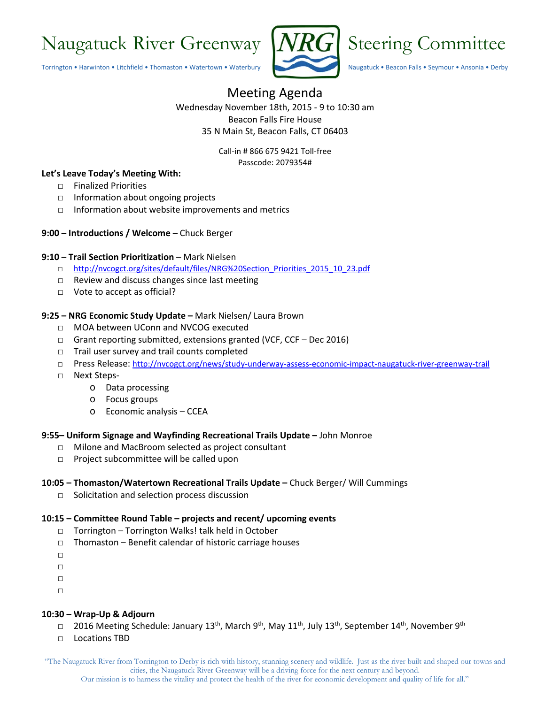# Naugatuck River Greenway  $|NRG|$  Steering Committee

Torrington • Harwinton • Litchfield • Thomaston • Watertown • Waterbury Naugatuck • Beacon Falls • Seymour • Ansonia • Derby





## Meeting Agenda

Wednesday November 18th, 2015 - 9 to 10:30 am Beacon Falls Fire House 35 N Main St, Beacon Falls, CT 06403

> Call-in # 866 675 9421 Toll-free Passcode: 2079354#

#### **Let's Leave Today's Meeting With:**

- □ Finalized Priorities
- □ Information about ongoing projects
- □ Information about website improvements and metrics
- **9:00 – Introductions / Welcome** Chuck Berger

#### **9:10 – Trail Section Prioritization** – Mark Nielsen

- □ [http://nvcogct.org/sites/default/files/NRG%20Section\\_Priorities\\_2015\\_10\\_23.pdf](http://nvcogct.org/sites/default/files/NRG%20Section_Priorities_2015_10_23.pdf)
- □ Review and discuss changes since last meeting
- □ Vote to accept as official?

#### **9:25 – NRG Economic Study Update –** Mark Nielsen/ Laura Brown

- □ MOA between UConn and NVCOG executed
- □ Grant reporting submitted, extensions granted (VCF, CCF Dec 2016)
- □ Trail user survey and trail counts completed
- □ Press Release:<http://nvcogct.org/news/study-underway-assess-economic-impact-naugatuck-river-greenway-trail>
- □ Next Steps
	- o Data processing
	- o Focus groups
	- o Economic analysis CCEA

#### **9:55– Uniform Signage and Wayfinding Recreational Trails Update –** John Monroe

- □ Milone and MacBroom selected as project consultant
- □ Project subcommittee will be called upon

#### **10:05 – Thomaston/Watertown Recreational Trails Update –** Chuck Berger/ Will Cummings

□ Solicitation and selection process discussion

#### **10:15 – Committee Round Table – projects and recent/ upcoming events**

- □ Torrington Torrington Walks! talk held in October
- □ Thomaston Benefit calendar of historic carriage houses
- □
- □
- □
- □

#### **10:30 – Wrap-Up & Adjourn**

- □ 2016 Meeting Schedule: January 13<sup>th</sup>, March 9<sup>th</sup>, May 11<sup>th</sup>, July 13<sup>th</sup>, September 14<sup>th</sup>, November 9<sup>th</sup>
- □ Locations TBD